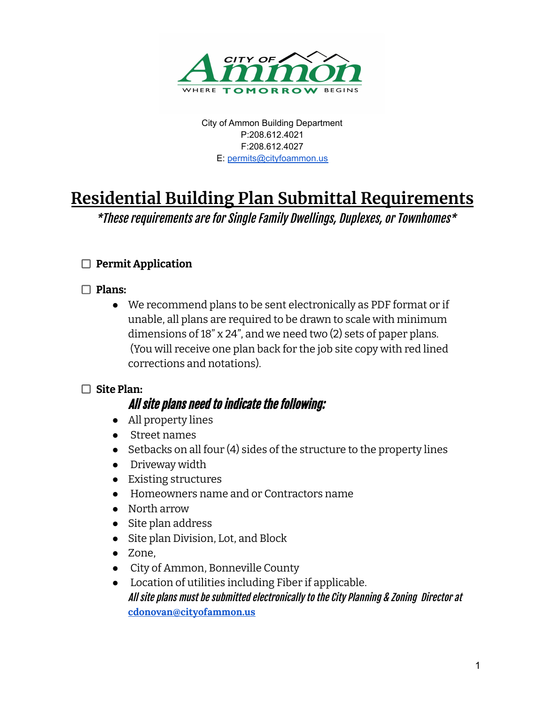

City of Ammon Building Department P:208.612.4021 F:208.612.4027 E: [permits@cityfoammon.us](mailto:permits@cityfoammon.us)

# **Residential Building Plan Submittal Requirements**

\*These requirements are for Single Family Dwellings, Duplexes, or Townhomes\*

# **Permit Application**

#### **Plans:**

● We recommend plans to be sent electronically as PDF format or if unable, all plans are required to be drawn to scale with minimum dimensions of 18" x 24", and we need two (2) sets of paper plans. (You will receive one plan back for the job site copy with red lined corrections and notations).

#### **Site Plan:**

# All site plans need to indicate the following:

- All property lines
- Street names
- Setbacks on all four (4) sides of the structure to the property lines
- Driveway width
- Existing structures
- Homeowners name and or Contractors name
- North arrow
- Site plan address
- Site plan Division, Lot, and Block
- Zone,
- City of Ammon, Bonneville County
- Location of utilities including Fiber if applicable. All site plans must be submitted electronically to the City Planning & Zoning Director at **[cdonovan@cityofammon.us](mailto:cdonovan@cityofammon.us)**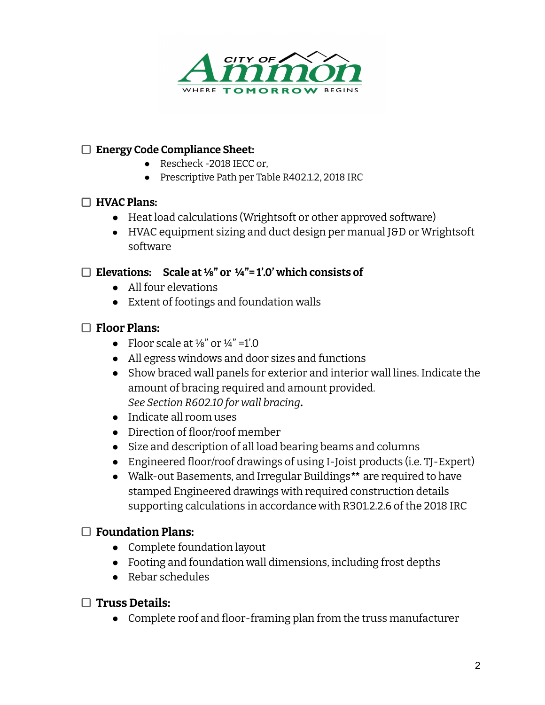

#### **Energy Code Compliance Sheet:**

- Rescheck -2018 IECC or,
- Prescriptive Path per Table R402.1.2, 2018 IRC

#### **HVAC Plans:**

- Heat load calculations (Wrightsoft or other approved software)
- HVAC equipment sizing and duct design per manual J&D or Wrightsoft software

#### **Elevations: Scale at ⅛" or ¼"= 1'.0' which consists of**

- All four elevations
- Extent of footings and foundation walls

## **Floor Plans:**

- Floor scale at  $\frac{1}{8}$ " or  $\frac{1}{4}$ " =1'.0
- All egress windows and door sizes and functions
- **●** Show braced wall panels for exterior and interior wall lines. Indicate the amount of bracing required and amount provided. *See Section R602.10 for wall bracing***.**
- Indicate all room uses
- Direction of floor/roof member
- Size and description of all load bearing beams and columns
- Engineered floor/roof drawings of using I-Joist products (i.e. TJ-Expert)
- Walk-out Basements, and Irregular Buildings*\*\** are required to have stamped Engineered drawings with required construction details supporting calculations in accordance with R301.2.2.6 of the 2018 IRC

## **Foundation Plans:**

- Complete foundation layout
- Footing and foundation wall dimensions, including frost depths
- Rebar schedules
- **Truss Details:**
	- Complete roof and floor-framing plan from the truss manufacturer